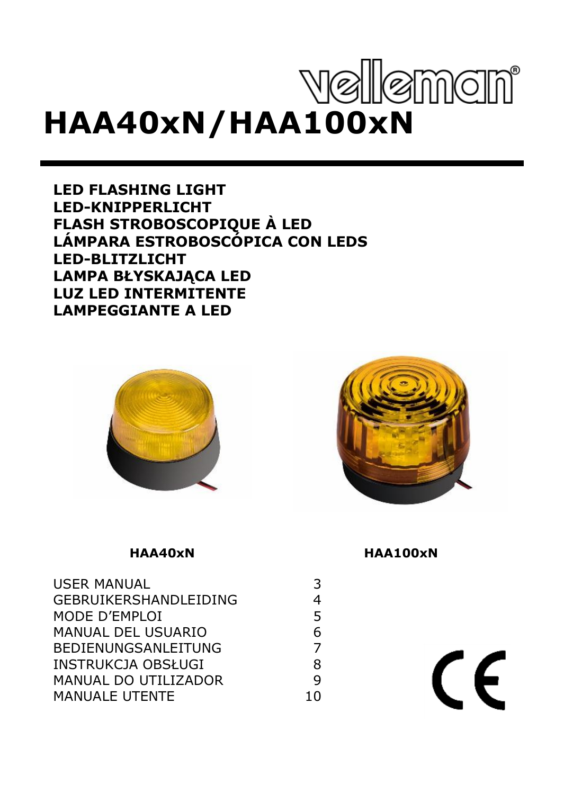# velleman **HAA40xN/HAA100xN**

**FLASH STROBOSCOPIQUE À LED LED FLASHING LIGHT LED-KNIPPERLICHT LÁMPARA ESTROBOSCÓPICA CON LEDS LED-BLITZLICHT LAMPA BŁYSKAJĄCA LED LUZ LED INTERMITENTE LAMPEGGIANTE A LED**





| <b>USER MANUAL</b>    | 3  |
|-----------------------|----|
| GEBRUIKERSHANDLEIDING | 4  |
| MODE D'EMPLOI         | 5  |
| MANUAL DEL USUARIO    | 6  |
| BEDIENUNGSANLEITUNG   | 7  |
| INSTRUKCJA OBSŁUGI    | 8  |
| MANUAL DO UTILIZADOR  | q  |
| <b>MANUALE UTENTE</b> | 10 |

#### **HAA40xN HAA100xN**

 $\epsilon$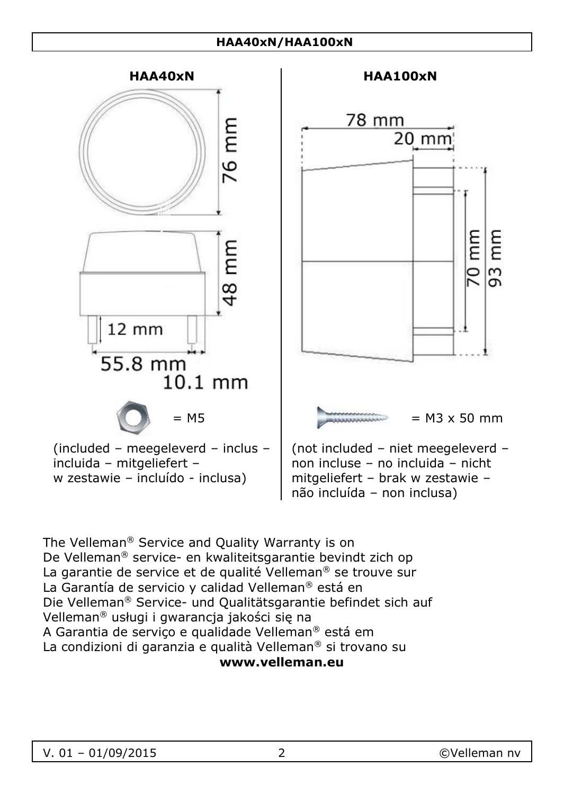#### **HAA40xN/HAA100xN**



w zestawie – incluído - inclusa)



non incluse – no incluida – nicht mitgeliefert – brak w zestawie – não incluída – non inclusa)

The Velleman® Service and Quality Warranty is on De Velleman® service- en kwaliteitsgarantie bevindt zich op La garantie de service et de qualité Velleman<sup>®</sup> se trouve sur La Garantía de servicio y calidad Velleman® está en Die Velleman® Service- und Qualitätsgarantie befindet sich auf Velleman® usługi i gwarancja jakości się na A Garantia de serviço e qualidade Velleman® está em La condizioni di garanzia e qualità Velleman® si trovano su **www.velleman.eu**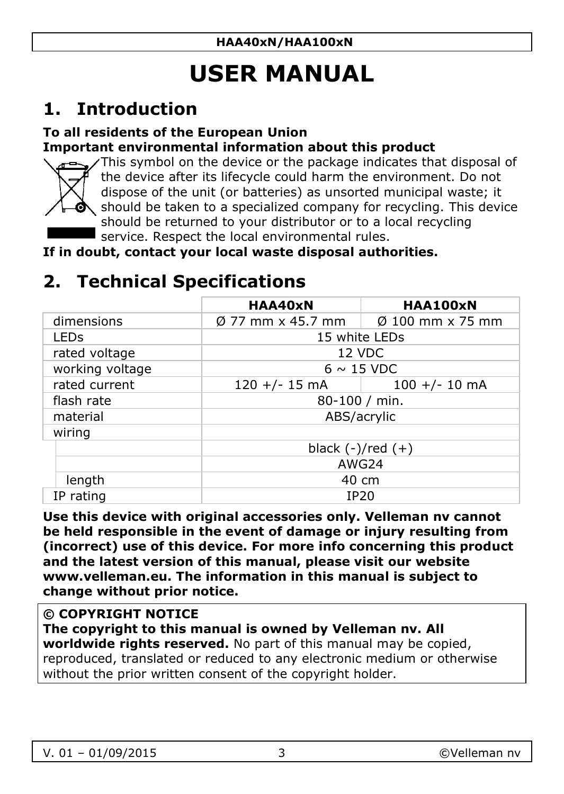## **USER MANUAL**

### <span id="page-2-0"></span>**1. Introduction**

#### **To all residents of the European Union Important environmental information about this product**



This symbol on the device or the package indicates that disposal of the device after its lifecycle could harm the environment. Do not dispose of the unit (or batteries) as unsorted municipal waste; it should be taken to a specialized company for recycling. This device should be returned to your distributor or to a local recycling service. Respect the local environmental rules.

**If in doubt, contact your local waste disposal authorities.**

### **2. Technical Specifications**

|                  | HAA40xN                       | HAA100xN                     |
|------------------|-------------------------------|------------------------------|
| dimensions       | $\varnothing$ 77 mm x 45.7 mm | $\varnothing$ 100 mm x 75 mm |
| LED <sub>S</sub> | 15 white LEDs                 |                              |
| rated voltage    | 12 VDC                        |                              |
| working voltage  | $6 \sim 15$ VDC               |                              |
| rated current    | $120 +/- 15$ mA               | $100 +/- 10$ mA              |
| flash rate       | 80-100 / min.                 |                              |
| material         | ABS/acrylic                   |                              |
| wiring           |                               |                              |
|                  | black $(-)/red (+)$           |                              |
|                  | AWG24                         |                              |
| length           | 40 cm                         |                              |
| IP rating        | IP20                          |                              |

**Use this device with original accessories only. Velleman nv cannot be held responsible in the event of damage or injury resulting from (incorrect) use of this device. For more info concerning this product and the latest version of this manual, please visit our website www.velleman.eu. The information in this manual is subject to change without prior notice.**

#### **© COPYRIGHT NOTICE**

**The copyright to this manual is owned by Velleman nv. All worldwide rights reserved.** No part of this manual may be copied, reproduced, translated or reduced to any electronic medium or otherwise without the prior written consent of the copyright holder.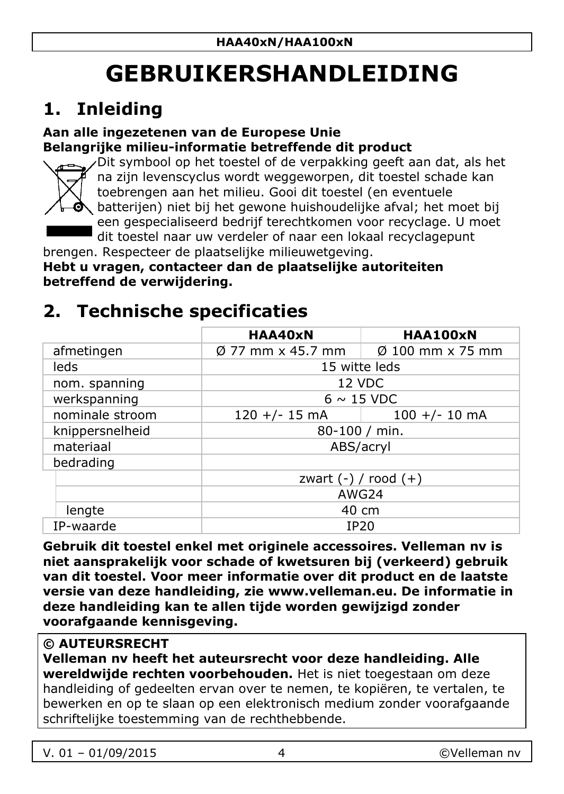## **GEBRUIKERSHANDLEIDING**

## <span id="page-3-0"></span>**1. Inleiding**

#### **Aan alle ingezetenen van de Europese Unie Belangrijke milieu-informatie betreffende dit product**



Dit symbool op het toestel of de verpakking geeft aan dat, als het na zijn levenscyclus wordt weggeworpen, dit toestel schade kan toebrengen aan het milieu. Gooi dit toestel (en eventuele batterijen) niet bij het gewone huishoudelijke afval; het moet bij een gespecialiseerd bedrijf terechtkomen voor recyclage. U moet dit toestel naar uw verdeler of naar een lokaal recyclagepunt

brengen. Respecteer de plaatselijke milieuwetgeving.

**Hebt u vragen, contacteer dan de plaatselijke autoriteiten betreffend de verwijdering.**

### **2. Technische specificaties**

|                 | HAA40xN                  | HAA100xN                     |
|-----------------|--------------------------|------------------------------|
| afmetingen      | Ø 77 mm x 45.7 mm        | $\varnothing$ 100 mm x 75 mm |
| leds            | 15 witte leds            |                              |
| nom. spanning   | 12 VDC                   |                              |
| werkspanning    | $6 \sim 15$ VDC          |                              |
| nominale stroom | $120 +/- 15$ mA          | $100 +/- 10$ mA              |
| knippersnelheid | 80-100 / min.            |                              |
| materiaal       | ABS/acryl                |                              |
| bedrading       |                          |                              |
|                 | zwart $(-)$ / rood $(+)$ |                              |
|                 | AWG24                    |                              |
| lengte          | 40 cm                    |                              |
| IP-waarde       | <b>IP20</b>              |                              |

**Gebruik dit toestel enkel met originele accessoires. Velleman nv is niet aansprakelijk voor schade of kwetsuren bij (verkeerd) gebruik van dit toestel. Voor meer informatie over dit product en de laatste versie van deze handleiding, zie www.velleman.eu. De informatie in deze handleiding kan te allen tijde worden gewijzigd zonder voorafgaande kennisgeving.**

### **© AUTEURSRECHT**

**Velleman nv heeft het auteursrecht voor deze handleiding. Alle wereldwijde rechten voorbehouden.** Het is niet toegestaan om deze handleiding of gedeelten ervan over te nemen, te kopiëren, te vertalen, te bewerken en op te slaan op een elektronisch medium zonder voorafgaande schriftelijke toestemming van de rechthebbende.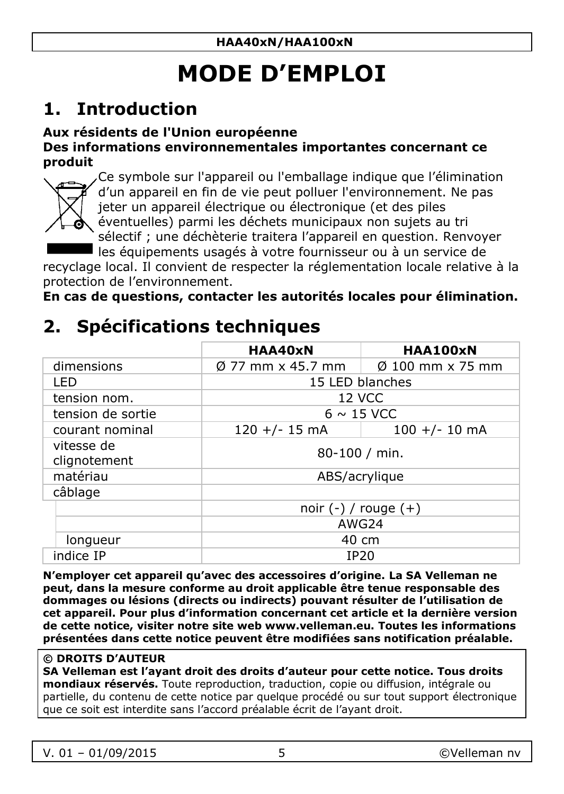## **MODE D'EMPLOI**

### <span id="page-4-0"></span>**1. Introduction**

#### **Aux résidents de l'Union européenne**

#### **Des informations environnementales importantes concernant ce produit**



Ce symbole sur l'appareil ou l'emballage indique que l'élimination d'un appareil en fin de vie peut polluer l'environnement. Ne pas jeter un appareil électrique ou électronique (et des piles éventuelles) parmi les déchets municipaux non sujets au tri sélectif ; une déchèterie traitera l'appareil en question. Renvoyer

les équipements usagés à votre fournisseur ou à un service de recyclage local. Il convient de respecter la réglementation locale relative à la

protection de l'environnement.

**En cas de questions, contacter les autorités locales pour élimination.**

### **2. Spécifications techniques**

|                            | HAA40xN                                                       | <b>HAA100xN</b> |
|----------------------------|---------------------------------------------------------------|-----------------|
| dimensions                 | $\varnothing$ 77 mm x 45.7 mm $\ \varnothing\$ 100 mm x 75 mm |                 |
| I FD                       | 15 LED blanches                                               |                 |
| tension nom.               | 12 VCC                                                        |                 |
| tension de sortie          | $6 \sim 15$ VCC                                               |                 |
| courant nominal            | $120 +/- 15$ mA                                               | $100 +/- 10$ mA |
| vitesse de<br>clignotement | 80-100 / min.                                                 |                 |
| matériau                   | ABS/acrylique                                                 |                 |
| câblage                    |                                                               |                 |
|                            | noir $(-)$ / rouge $(+)$                                      |                 |
|                            | AWG24                                                         |                 |
| longueur                   | 40 cm                                                         |                 |
| indice IP                  | IP20                                                          |                 |

**N'employer cet appareil qu'avec des accessoires d'origine. La SA Velleman ne peut, dans la mesure conforme au droit applicable être tenue responsable des dommages ou lésions (directs ou indirects) pouvant résulter de l'utilisation de cet appareil. Pour plus d'information concernant cet article et la dernière version de cette notice, visiter notre site web www.velleman.eu. Toutes les informations présentées dans cette notice peuvent être modifiées sans notification préalable.**

#### **© DROITS D'AUTEUR**

**SA Velleman est l'ayant droit des droits d'auteur pour cette notice. Tous droits mondiaux réservés.** Toute reproduction, traduction, copie ou diffusion, intégrale ou partielle, du contenu de cette notice par quelque procédé ou sur tout support électronique que ce soit est interdite sans l'accord préalable écrit de l'ayant droit.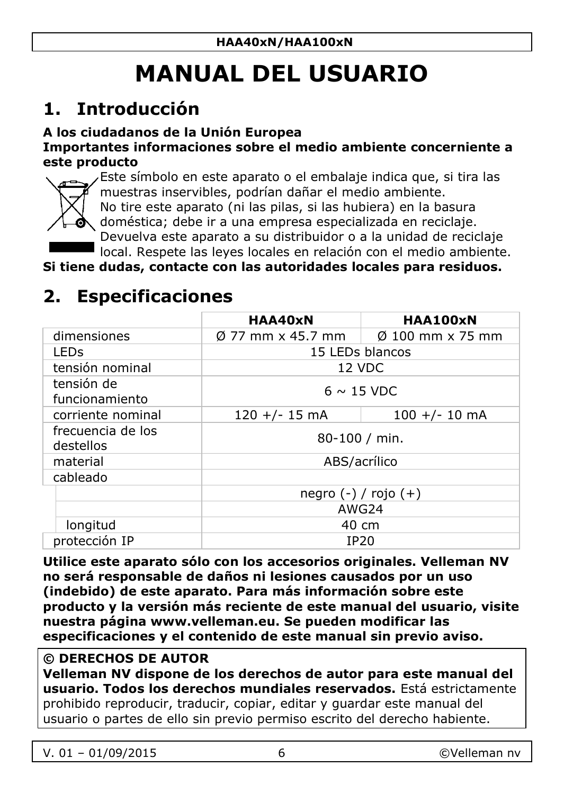## **MANUAL DEL USUARIO**

### <span id="page-5-0"></span>**1. Introducción**

#### **A los ciudadanos de la Unión Europea**

#### **Importantes informaciones sobre el medio ambiente concerniente a este producto**



Este símbolo en este aparato o el embalaje indica que, si tira las muestras inservibles, podrían dañar el medio ambiente.

No tire este aparato (ni las pilas, si las hubiera) en la basura

doméstica; debe ir a una empresa especializada en reciclaje. Devuelva este aparato a su distribuidor o a la unidad de reciclaje

local. Respete las leyes locales en relación con el medio ambiente.

**Si tiene dudas, contacte con las autoridades locales para residuos.**

### **2. Especificaciones**

|                                | HAA40xN                       | HAA100xN                     |
|--------------------------------|-------------------------------|------------------------------|
| dimensiones                    | $\varnothing$ 77 mm x 45.7 mm | $\varnothing$ 100 mm x 75 mm |
| LED <sub>S</sub>               | 15 LEDs blancos               |                              |
| tensión nominal                | 12 VDC                        |                              |
| tensión de<br>funcionamiento   | $6 \sim 15$ VDC               |                              |
| corriente nominal              | $120 +/- 15$ mA               | $100 +/- 10$ mA              |
| frecuencia de los<br>destellos | $80 - 100$ / min.             |                              |
| material                       | ABS/acrílico                  |                              |
| cableado                       |                               |                              |
|                                | $negro (-) / rojo (+)$        |                              |
|                                |                               | AWG24                        |
| longitud                       |                               | 40 cm                        |
| protección IP                  | IP20                          |                              |

**Utilice este aparato sólo con los accesorios originales. Velleman NV no será responsable de daños ni lesiones causados por un uso (indebido) de este aparato. Para más información sobre este producto y la versión más reciente de este manual del usuario, visite nuestra página www.velleman.eu. Se pueden modificar las especificaciones y el contenido de este manual sin previo aviso.**

#### **© DERECHOS DE AUTOR**

**Velleman NV dispone de los derechos de autor para este manual del usuario. Todos los derechos mundiales reservados.** Está estrictamente prohibido reproducir, traducir, copiar, editar y guardar este manual del usuario o partes de ello sin previo permiso escrito del derecho habiente.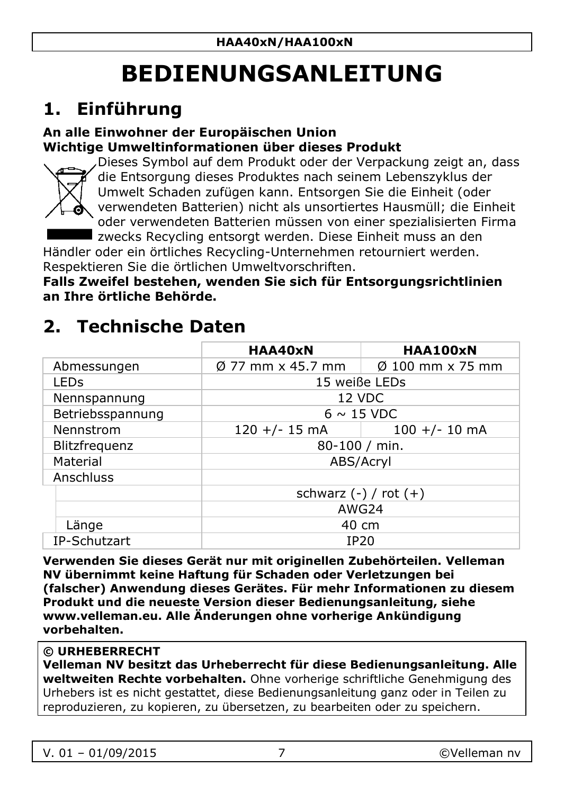## **BEDIENUNGSANLEITUNG**

### <span id="page-6-0"></span>**1. Einführung**

#### **An alle Einwohner der Europäischen Union Wichtige Umweltinformationen über dieses Produkt**



Dieses Symbol auf dem Produkt oder der Verpackung zeigt an, dass die Entsorgung dieses Produktes nach seinem Lebenszyklus der Umwelt Schaden zufügen kann. Entsorgen Sie die Einheit (oder verwendeten Batterien) nicht als unsortiertes Hausmüll; die Einheit oder verwendeten Batterien müssen von einer spezialisierten Firma zwecks Recycling entsorgt werden. Diese Einheit muss an den

Händler oder ein örtliches Recycling-Unternehmen retourniert werden. Respektieren Sie die örtlichen Umweltvorschriften.

**Falls Zweifel bestehen, wenden Sie sich für Entsorgungsrichtlinien an Ihre örtliche Behörde.**

### **2. Technische Daten**

|                  | HAA40xN                       | <b>HAA100xN</b>              |
|------------------|-------------------------------|------------------------------|
| Abmessungen      | $\varnothing$ 77 mm x 45.7 mm | $\varnothing$ 100 mm x 75 mm |
| LED <sub>S</sub> | 15 weiße LEDs                 |                              |
| Nennspannung     | 12 VDC                        |                              |
| Betriebsspannung | $6 \sim 15$ VDC               |                              |
| Nennstrom        | $120 +/- 15$ mA               | $100 +/- 10$ mA              |
| Blitzfrequenz    | 80-100 / min.                 |                              |
| Material         | ABS/Acryl                     |                              |
| Anschluss        |                               |                              |
|                  | schwarz $(-)$ / rot $(+)$     |                              |
|                  | AWG24                         |                              |
| Länge            | 40 cm                         |                              |
| IP-Schutzart     | IP20                          |                              |

**Verwenden Sie dieses Gerät nur mit originellen Zubehörteilen. Velleman NV übernimmt keine Haftung für Schaden oder Verletzungen bei (falscher) Anwendung dieses Gerätes. Für mehr Informationen zu diesem Produkt und die neueste Version dieser Bedienungsanleitung, siehe www.velleman.eu. Alle Änderungen ohne vorherige Ankündigung vorbehalten.**

#### **© URHEBERRECHT**

**Velleman NV besitzt das Urheberrecht für diese Bedienungsanleitung. Alle weltweiten Rechte vorbehalten.** Ohne vorherige schriftliche Genehmigung des Urhebers ist es nicht gestattet, diese Bedienungsanleitung ganz oder in Teilen zu reproduzieren, zu kopieren, zu übersetzen, zu bearbeiten oder zu speichern.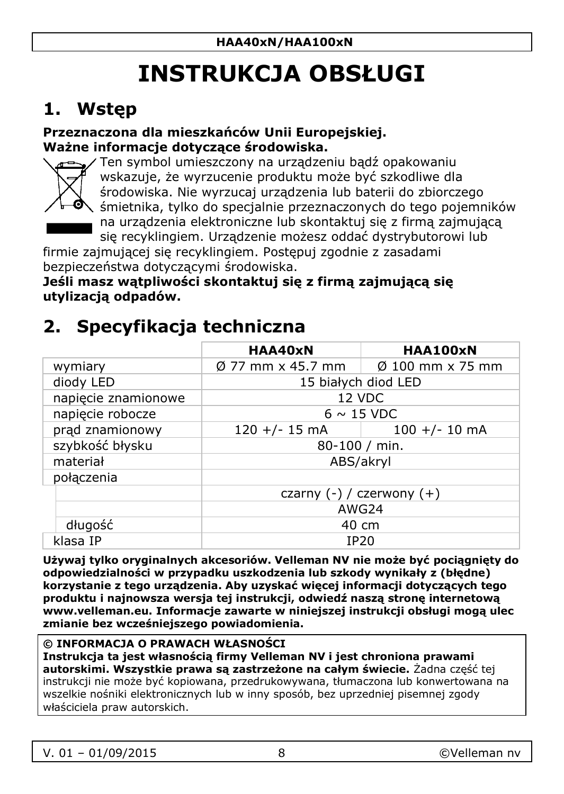## **INSTRUKCJA OBSŁUGI**

### <span id="page-7-0"></span>**1. Wstęp**

#### **Przeznaczona dla mieszkańców Unii Europejskiej. Ważne informacje dotyczące środowiska.**



Ten symbol umieszczony na urządzeniu bądź opakowaniu wskazuje, że wyrzucenie produktu może być szkodliwe dla środowiska. Nie wyrzucaj urządzenia lub baterii do zbiorczego śmietnika, tylko do specjalnie przeznaczonych do tego pojemników na urządzenia elektroniczne lub skontaktuj się z firmą zajmującą się recyklingiem. Urządzenie możesz oddać dystrybutorowi lub

firmie zajmującej się recyklingiem. Postępuj zgodnie z zasadami bezpieczeństwa dotyczącymi środowiska.

**Jeśli masz wątpliwości skontaktuj się z firmą zajmującą się utylizacją odpadów.**

### **2. Specyfikacja techniczna**

|                     | HAA40xN                                                           | HAA100xN        |
|---------------------|-------------------------------------------------------------------|-----------------|
| wymiary             | $\varnothing$ 77 mm x 45.7 mm $\Box$ $\varnothing$ 100 mm x 75 mm |                 |
| diody LED           | 15 białych diod LED                                               |                 |
| napiecie znamionowe | 12 VDC                                                            |                 |
| napiecie robocze    | $6 \sim 15$ VDC                                                   |                 |
| prad znamionowy     | $120 +/- 15$ mA                                                   | $100 +/- 10$ mA |
| szybkość błysku     | 80-100 / min.                                                     |                 |
| materiał            | ABS/akryl                                                         |                 |
| połaczenia          |                                                                   |                 |
|                     | czarny $(-)$ / czerwony $(+)$                                     |                 |
|                     | AWG24                                                             |                 |
| długość             | 40 cm                                                             |                 |
| klasa IP            | IP20                                                              |                 |

**Używaj tylko oryginalnych akcesoriów. Velleman NV nie może być pociągnięty do odpowiedzialności w przypadku uszkodzenia lub szkody wynikały z (błędne) korzystanie z tego urządzenia. Aby uzyskać więcej informacji dotyczących tego produktu i najnowsza wersja tej instrukcji, odwiedź naszą stronę internetową www.velleman.eu. Informacje zawarte w niniejszej instrukcji obsługi mogą ulec zmianie bez wcześniejszego powiadomienia.**

#### **© INFORMACJA O PRAWACH WŁASNOŚCI**

**Instrukcja ta jest własnością firmy Velleman NV i jest chroniona prawami autorskimi. Wszystkie prawa są zastrzeżone na całym świecie.** Żadna część tej instrukcji nie może być kopiowana, przedrukowywana, tłumaczona lub konwertowana na wszelkie nośniki elektronicznych lub w inny sposób, bez uprzedniej pisemnej zgody właściciela praw autorskich.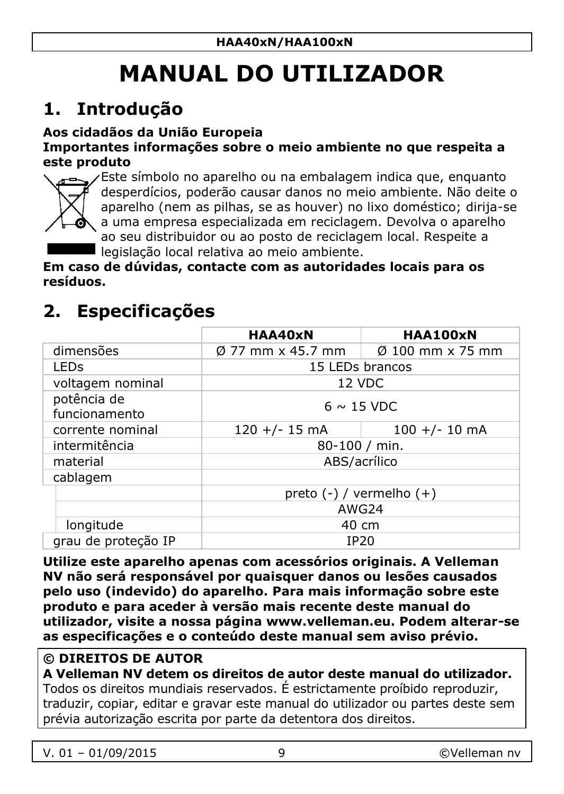## **MANUAL DO UTILIZADOR**

### <span id="page-8-0"></span>**1. Introdução**

#### **Aos cidadãos da União Europeia**

#### **Importantes informações sobre o meio ambiente no que respeita a este produto**



Este símbolo no aparelho ou na embalagem indica que, enquanto desperdícios, poderão causar danos no meio ambiente. Não deite o aparelho (nem as pilhas, se as houver) no lixo doméstico; dirija-se a uma empresa especializada em reciclagem. Devolva o aparelho ao seu distribuidor ou ao posto de reciclagem local. Respeite a legislação local relativa ao meio ambiente.

**Em caso de dúvidas, contacte com as autoridades locais para os resíduos.**

### **2. Especificações**

|                              | HAA40xN                       | HAA100xN         |
|------------------------------|-------------------------------|------------------|
| dimensões                    | $\varnothing$ 77 mm x 45.7 mm | Ø 100 mm x 75 mm |
| LED <sub>S</sub>             | 15 LEDs brancos               |                  |
| voltagem nominal             | 12 VDC                        |                  |
| potência de<br>funcionamento | $6 \sim 15$ VDC               |                  |
| corrente nominal             | $120 +/- 15$ mA               | $100 +/- 10$ mA  |
| intermitência                | 80-100 / min.                 |                  |
| material                     | ABS/acrílico                  |                  |
| cablagem                     |                               |                  |
|                              | preto $(-)$ / vermelho $(+)$  |                  |
|                              | AWG24                         |                  |
| longitude                    | 40 cm                         |                  |
| grau de proteção IP          | IP20                          |                  |

**Utilize este aparelho apenas com acessórios originais. A Velleman NV não será responsável por quaisquer danos ou lesões causados pelo uso (indevido) do aparelho. Para mais informação sobre este produto e para aceder à versão mais recente deste manual do utilizador, visite a nossa página www.velleman.eu. Podem alterar-se as especificações e o conteúdo deste manual sem aviso prévio.**

#### **© DIREITOS DE AUTOR**

**A Velleman NV detem os direitos de autor deste manual do utilizador.**  Todos os direitos mundiais reservados. É estrictamente proíbido reproduzir, traduzir, copiar, editar e gravar este manual do utilizador ou partes deste sem prévia autorização escrita por parte da detentora dos direitos.